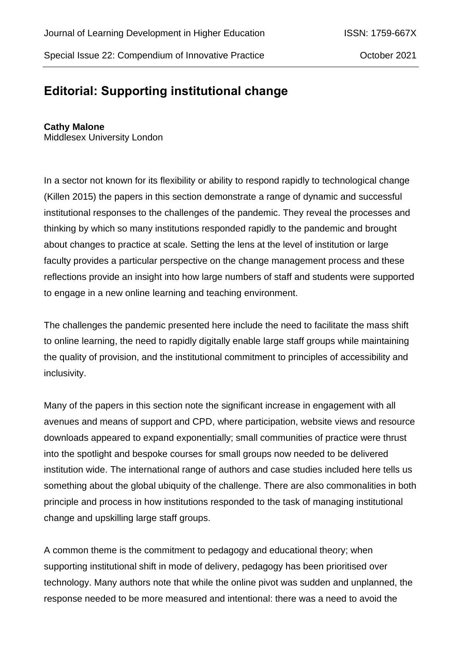## **Editorial: Supporting institutional change**

## **Cathy Malone**

Middlesex University London

In a sector not known for its flexibility or ability to respond rapidly to technological change (Killen 2015) the papers in this section demonstrate a range of dynamic and successful institutional responses to the challenges of the pandemic. They reveal the processes and thinking by which so many institutions responded rapidly to the pandemic and brought about changes to practice at scale. Setting the lens at the level of institution or large faculty provides a particular perspective on the change management process and these reflections provide an insight into how large numbers of staff and students were supported to engage in a new online learning and teaching environment.

The challenges the pandemic presented here include the need to facilitate the mass shift to online learning, the need to rapidly digitally enable large staff groups while maintaining the quality of provision, and the institutional commitment to principles of accessibility and inclusivity.

Many of the papers in this section note the significant increase in engagement with all avenues and means of support and CPD, where participation, website views and resource downloads appeared to expand exponentially; small communities of practice were thrust into the spotlight and bespoke courses for small groups now needed to be delivered institution wide. The international range of authors and case studies included here tells us something about the global ubiquity of the challenge. There are also commonalities in both principle and process in how institutions responded to the task of managing institutional change and upskilling large staff groups.

A common theme is the commitment to pedagogy and educational theory; when supporting institutional shift in mode of delivery, pedagogy has been prioritised over technology. Many authors note that while the online pivot was sudden and unplanned, the response needed to be more measured and intentional: there was a need to avoid the